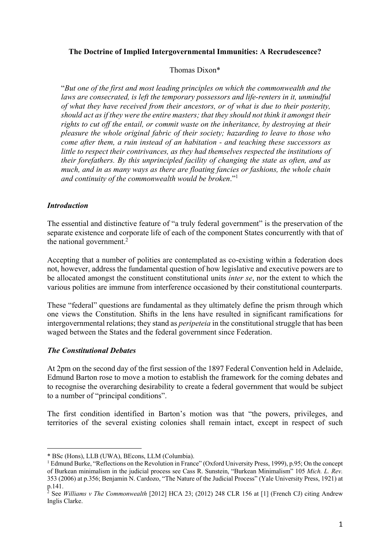## **The Doctrine of Implied Intergovernmental Immunities: A Recrudescence?**

#### Thomas Dixon\*

"*But one of the first and most leading principles on which the commonwealth and the laws are consecrated, is left the temporary possessors and life-renters in it, unmindful of what they have received from their ancestors, or of what is due to their posterity, should act as if they were the entire masters; that they should not think it amongst their rights to cut off the entail, or commit waste on the inheritance, by destroying at their pleasure the whole original fabric of their society; hazarding to leave to those who come after them, a ruin instead of an habitation - and teaching these successors as little to respect their contrivances, as they had themselves respected the institutions of their forefathers. By this unprincipled facility of changing the state as often, and as much, and in as many ways as there are floating fancies or fashions, the whole chain and continuity of the commonwealth would be broken*."1

### *Introduction*

The essential and distinctive feature of "a truly federal government" is the preservation of the separate existence and corporate life of each of the component States concurrently with that of the national government. 2

Accepting that a number of polities are contemplated as co-existing within a federation does not, however, address the fundamental question of how legislative and executive powers are to be allocated amongst the constituent constitutional units *inter se*, nor the extent to which the various polities are immune from interference occasioned by their constitutional counterparts.

These "federal" questions are fundamental as they ultimately define the prism through which one views the Constitution. Shifts in the lens have resulted in significant ramifications for intergovernmental relations; they stand as *peripeteia* in the constitutional struggle that has been waged between the States and the federal government since Federation.

### *The Constitutional Debates*

At 2pm on the second day of the first session of the 1897 Federal Convention held in Adelaide, Edmund Barton rose to move a motion to establish the framework for the coming debates and to recognise the overarching desirability to create a federal government that would be subject to a number of "principal conditions".

The first condition identified in Barton's motion was that "the powers, privileges, and territories of the several existing colonies shall remain intact, except in respect of such

<sup>\*</sup> BSc (Hons), LLB (UWA), BEcons, LLM (Columbia).

<sup>1</sup> Edmund Burke, "Reflections on the Revolution in France" (Oxford University Press, 1999), p.95; On the concept of Burkean minimalism in the judicial process see Cass R. Sunstein, "Burkean Minimalism" 105 *Mich. L. Rev.* 353 (2006) at p.356; Benjamin N. Cardozo, "The Nature of the Judicial Process" (Yale University Press, 1921) at p.141.

<sup>2</sup> See *Williams v The Commonwealth* [2012] HCA 23; (2012) 248 CLR 156 at [1] (French CJ) citing Andrew Inglis Clarke.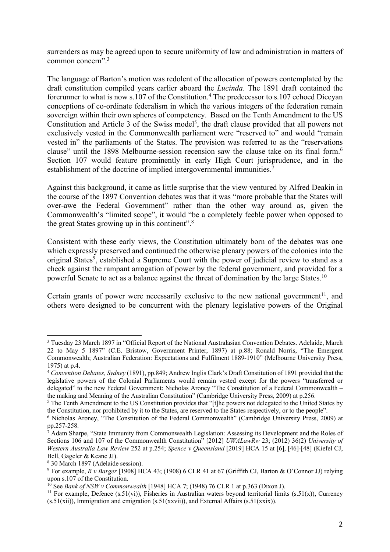surrenders as may be agreed upon to secure uniformity of law and administration in matters of common concern".3

The language of Barton's motion was redolent of the allocation of powers contemplated by the draft constitution compiled years earlier aboard the *Lucinda*. The 1891 draft contained the forerunner to what is now s.107 of the Constitution.<sup>4</sup> The predecessor to s.107 echoed Diceyan conceptions of co-ordinate federalism in which the various integers of the federation remain sovereign within their own spheres of competency. Based on the Tenth Amendment to the US Constitution and Article 3 of the Swiss model<sup>5</sup>, the draft clause provided that all powers not exclusively vested in the Commonwealth parliament were "reserved to" and would "remain vested in" the parliaments of the States. The provision was referred to as the "reservations clause" until the 1898 Melbourne-session recension saw the clause take on its final form.6 Section 107 would feature prominently in early High Court jurisprudence, and in the establishment of the doctrine of implied intergovernmental immunities.<sup>7</sup>

Against this background, it came as little surprise that the view ventured by Alfred Deakin in the course of the 1897 Convention debates was that it was "more probable that the States will over-awe the Federal Government" rather than the other way around as, given the Commonwealth's "limited scope", it would "be a completely feeble power when opposed to the great States growing up in this continent".8

Consistent with these early views, the Constitution ultimately born of the debates was one which expressly preserved and continued the otherwise plenary powers of the colonies into the original States<sup>9</sup>, established a Supreme Court with the power of judicial review to stand as a check against the rampant arrogation of power by the federal government, and provided for a powerful Senate to act as a balance against the threat of domination by the large States.10

Certain grants of power were necessarily exclusive to the new national government<sup>11</sup>, and others were designed to be concurrent with the plenary legislative powers of the Original

<sup>3</sup> Tuesday 23 March 1897 in "Official Report of the National Australasian Convention Debates. Adelaide, March 22 to May 5 1897" (C.E. Bristow, Government Printer, 1897) at p.88; Ronald Norris, "The Emergent Commonwealth; Australian Federation: Expectations and Fulfilment 1889-1910" (Melbourne University Press, 1975) at p.4.

<sup>4</sup> *Convention Debates, Sydney* (1891), pp.849; Andrew Inglis Clark's Draft Constitution of 1891 provided that the legislative powers of the Colonial Parliaments would remain vested except for the powers "transferred or delegated" to the new Federal Government: Nicholas Aroney "The Constitution of a Federal Commonwealth – the making and Meaning of the Australian Constitution" (Cambridge University Press, 2009) at p.256.

<sup>&</sup>lt;sup>5</sup> The Tenth Amendment to the US Constitution provides that "[t]he powers not delegated to the United States by the Constitution, nor prohibited by it to the States, are reserved to the States respectively, or to the people".

<sup>6</sup> Nicholas Aroney, "The Constitution of the Federal Commonwealth" (Cambridge University Press, 2009) at pp.257-258.

Adam Sharpe, "State Immunity from Commonwealth Legislation: Assessing its Development and the Roles of Sections 106 and 107 of the Commonwealth Constitution" [2012] *UWALawRw* 23; (2012) 36(2) *University of Western Australia Law Review* 252 at p.254; *Spence v Queensland* [2019] HCA 15 at [6], [46]-[48] (Kiefel CJ, Bell, Gageler & Keane JJ).

<sup>8</sup> 30 March 1897 (Adelaide session).

<sup>9</sup> For example, *R v Barger* [1908] HCA 43; (1908) 6 CLR 41 at 67 (Griffith CJ, Barton & O'Connor JJ) relying upon s.107 of the Constitution.

<sup>10</sup> See *Bank of NSW v Commonwealth* [1948] HCA 7; (1948) 76 CLR 1 at p.363 (Dixon J).

<sup>&</sup>lt;sup>11</sup> For example, Defence (s.51(vi)), Fisheries in Australian waters beyond territorial limits (s.51(x)), Currency  $(s.51(xii))$ , Immigration and emigration  $(s.51(xxvii))$ , and External Affairs  $(s.51(xxix))$ .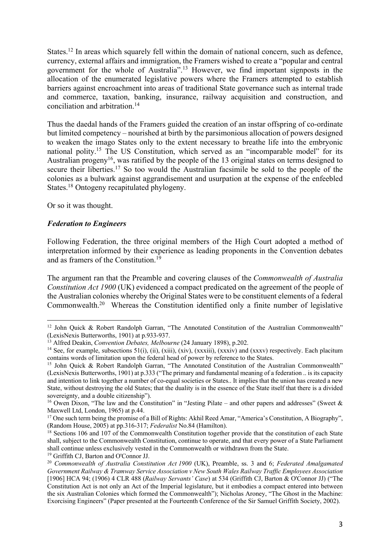States.<sup>12</sup> In areas which squarely fell within the domain of national concern, such as defence, currency, external affairs and immigration, the Framers wished to create a "popular and central government for the whole of Australia".13 However, we find important signposts in the allocation of the enumerated legislative powers where the Framers attempted to establish barriers against encroachment into areas of traditional State governance such as internal trade and commerce, taxation, banking, insurance, railway acquisition and construction, and conciliation and arbitration.14

Thus the daedal hands of the Framers guided the creation of an instar offspring of co-ordinate but limited competency – nourished at birth by the parsimonious allocation of powers designed to weaken the imago States only to the extent necessary to breathe life into the embryonic national polity.<sup>15</sup> The US Constitution, which served as an "incomparable model" for its Australian progeny<sup>16</sup>, was ratified by the people of the 13 original states on terms designed to secure their liberties.<sup>17</sup> So too would the Australian facsimile be sold to the people of the colonies as a bulwark against aggrandisement and usurpation at the expense of the enfeebled States.18 Ontogeny recapitulated phylogeny.

Or so it was thought.

### *Federation to Engineers*

Following Federation, the three original members of the High Court adopted a method of interpretation informed by their experience as leading proponents in the Convention debates and as framers of the Constitution.19

The argument ran that the Preamble and covering clauses of the *Commonwealth of Australia Constitution Act 1900* (UK) evidenced a compact predicated on the agreement of the people of the Australian colonies whereby the Original States were to be constituent elements of a federal Commonwealth.20 Whereas the Constitution identified only a finite number of legislative

<sup>&</sup>lt;sup>12</sup> John Quick & Robert Randolph Garran, "The Annotated Constitution of the Australian Commonwealth" (LexisNexis Butterworths, 1901) at p.933-937.

<sup>&</sup>lt;sup>13</sup> Alfred Deakin, *Convention Debates, Melbourne* (24 January 1898), p.202.

<sup>&</sup>lt;sup>14</sup> See, for example, subsections 51(i), (ii), (xiii), (xiv), (xxxiii), (xxxiv) and (xxxv) respectively. Each placitum contains words of limitation upon the federal head of power by reference to the States.

<sup>&</sup>lt;sup>15</sup> John Quick & Robert Randolph Garran, "The Annotated Constitution of the Australian Commonwealth" (LexisNexis Butterworths, 1901) at p.333 ("The primary and fundamental meaning of a federation .. is its capacity and intention to link together a number of co-equal societies or States.. It implies that the union has created a new State, without destroying the old States; that the duality is in the essence of the State itself that there is a divided sovereignty, and a double citizenship").

<sup>&</sup>lt;sup>16</sup> Owen Dixon, "The law and the Constitution" in "Jesting Pilate – and other papers and addresses" (Sweet  $\&$ Maxwell Ltd, London, 1965) at p.44.

<sup>&</sup>lt;sup>17</sup> One such term being the promise of a Bill of Rights: Akhil Reed Amar, "America's Constitution, A Biography", (Random House, 2005) at pp.316-317; *Federalist* No.84 (Hamilton).<br><sup>18</sup> Sections 106 and 107 of the Commonwealth Constitution together provide that the constitution of each State

shall, subject to the Commonwealth Constitution, continue to operate, and that every power of a State Parliament shall continue unless exclusively vested in the Commonwealth or withdrawn from the State.

<sup>19</sup> Griffith CJ, Barton and O'Connor JJ.

<sup>20</sup> *Commonwealth of Australia Constitution Act 1900* (UK), Preamble, ss. 3 and 6; *Federated Amalgamated Government Railway & Tramway Service Association v New South Wales Railway Traffic Employees Association* [1906] HCA 94; (1906) 4 CLR 488 (*Railway Servants' Case*) at 534 (Griffith CJ, Barton & O'Connor JJ) ("The Constitution Act is not only an Act of the Imperial legislature, but it embodies a compact entered into between the six Australian Colonies which formed the Commonwealth"); Nicholas Aroney, "The Ghost in the Machine: Exorcising Engineers" (Paper presented at the Fourteenth Conference of the Sir Samuel Griffith Society, 2002).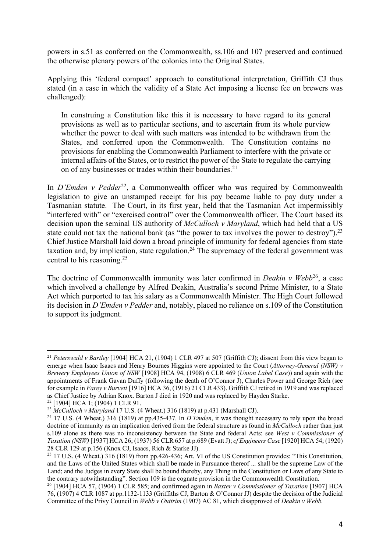powers in s.51 as conferred on the Commonwealth, ss.106 and 107 preserved and continued the otherwise plenary powers of the colonies into the Original States.

Applying this 'federal compact' approach to constitutional interpretation, Griffith CJ thus stated (in a case in which the validity of a State Act imposing a license fee on brewers was challenged):

In construing a Constitution like this it is necessary to have regard to its general provisions as well as to particular sections, and to ascertain from its whole purview whether the power to deal with such matters was intended to be withdrawn from the States, and conferred upon the Commonwealth. The Constitution contains no provisions for enabling the Commonwealth Parliament to interfere with the private or internal affairs of the States, or to restrict the power of the State to regulate the carrying on of any businesses or trades within their boundaries.<sup>21</sup>

In *D'Emden v Pedder*<sup>22</sup>, a Commonwealth officer who was required by Commonwealth legislation to give an unstamped receipt for his pay became liable to pay duty under a Tasmanian statute. The Court, in its first year, held that the Tasmanian Act impermissibly "interfered with" or "exercised control" over the Commonwealth officer. The Court based its decision upon the seminal US authority of *McCulloch v Maryland*, which had held that a US state could not tax the national bank (as "the power to tax involves the power to destroy").<sup>23</sup> Chief Justice Marshall laid down a broad principle of immunity for federal agencies from state taxation and, by implication, state regulation.<sup>24</sup> The supremacy of the federal government was central to his reasoning.25

The doctrine of Commonwealth immunity was later confirmed in *Deakin v Webb*<sup>26</sup>, a case which involved a challenge by Alfred Deakin, Australia's second Prime Minister, to a State Act which purported to tax his salary as a Commonwealth Minister. The High Court followed its decision in *D'Emden v Pedder* and, notably, placed no reliance on s.109 of the Constitution to support its judgment.

<sup>21</sup> *Peterswald v Bartley* [1904] HCA 21, (1904) 1 CLR 497 at 507 (Griffith CJ); dissent from this view began to emerge when Isaac Isaacs and Henry Bournes Higgins were appointed to the Court (*Attorney-General (NSW) v Brewery Employees Union of NSW* [1908] HCA 94, (1908) 6 CLR 469 (*Union Label Case*)) and again with the appointments of Frank Gavan Duffy (following the death of O'Connor J), Charles Power and George Rich (see for example in *Farey v Burvett* [1916] HCA 36, (1916) 21 CLR 433). Griffith CJ retired in 1919 and was replaced as Chief Justice by Adrian Knox. Barton J died in 1920 and was replaced by Hayden Starke.

<sup>22</sup> [1904] HCA 1; (1904) 1 CLR 91.

<sup>&</sup>lt;sup>23</sup> McCulloch v Maryland 17 U.S. (4 Wheat.) 316 (1819) at p.431 (Marshall CJ).

<sup>24</sup> 17 U.S. (4 Wheat.) 316 (1819) at pp.435-437. In *D'Emden*, it was thought necessary to rely upon the broad doctrine of immunity as an implication derived from the federal structure as found in *McCulloch* rather than just s.109 alone as there was no inconsistency between the State and federal Acts: see *West v Commissioner of Taxation (NSW)* [1937] HCA 26; (1937) 56 CLR 657 at p.689 (Evatt J); *cf Engineers Case* [1920] HCA 54; (1920) 28 CLR 129 at p.156 (Knox CJ, Isaacs, Rich & Starke JJ).

<sup>&</sup>lt;sup>25</sup> 17 U.S. (4 Wheat.) 316 (1819) from pp.426-436; Art. VI of the US Constitution provides: "This Constitution, and the Laws of the United States which shall be made in Pursuance thereof ... shall be the supreme Law of the Land; and the Judges in every State shall be bound thereby, any Thing in the Constitution or Laws of any State to the contrary notwithstanding". Section 109 is the cognate provision in the Commonwealth Constitution.

<sup>26</sup> [1904] HCA 57, (1904) 1 CLR 585; and confirmed again in *Baxter v Commissioner of Taxation* [1907] HCA 76, (1907) 4 CLR 1087 at pp.1132-1133 (Griffiths CJ, Barton & O'Connor JJ) despite the decision of the Judicial Committee of the Privy Council in *Webb v Outtrim* (1907) AC 81, which disapproved of *Deakin v Webb.*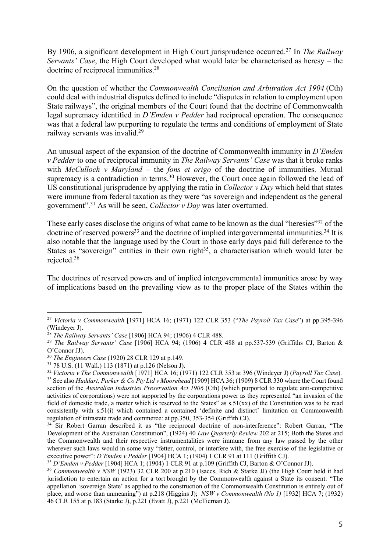By 1906, a significant development in High Court jurisprudence occurred.27 In *The Railway Servants' Case*, the High Court developed what would later be characterised as heresy – the doctrine of reciprocal immunities.<sup>28</sup>

On the question of whether the *Commonwealth Conciliation and Arbitration Act 1904* (Cth) could deal with industrial disputes defined to include "disputes in relation to employment upon State railways", the original members of the Court found that the doctrine of Commonwealth legal supremacy identified in *D'Emden v Pedder* had reciprocal operation. The consequence was that a federal law purporting to regulate the terms and conditions of employment of State railway servants was invalid.29

An unusual aspect of the expansion of the doctrine of Commonwealth immunity in *D'Emden v Pedder* to one of reciprocal immunity in *The Railway Servants' Case* was that it broke ranks with *McCulloch v Maryland* – the *fons et origo* of the doctrine of immunities. Mutual supremacy is a contradiction in terms.<sup>30</sup> However, the Court once again followed the lead of US constitutional jurisprudence by applying the ratio in *Collector v Day* which held that states were immune from federal taxation as they were "as sovereign and independent as the general government".31 As will be seen, *Collector v Day* was later overturned.

These early cases disclose the origins of what came to be known as the dual "heresies"<sup>32</sup> of the doctrine of reserved powers<sup>33</sup> and the doctrine of implied intergovernmental immunities.<sup>34</sup> It is also notable that the language used by the Court in those early days paid full deference to the States as "sovereign" entities in their own right $35$ , a characterisation which would later be rejected.36

The doctrines of reserved powers and of implied intergovernmental immunities arose by way of implications based on the prevailing view as to the proper place of the States within the

<sup>27</sup> *Victoria v Commonwealth* [1971] HCA 16; (1971) 122 CLR 353 ("*The Payroll Tax Case*") at pp.395-396 (Windeyer J).

<sup>28</sup> *The Railway Servants' Case* [1906] HCA 94; (1906) 4 CLR 488.

<sup>&</sup>lt;sup>29</sup> The Railway Servants' Case [1906] HCA 94; (1906) 4 CLR 488 at pp.537-539 (Griffiths CJ, Barton & O'Connor JJ).

<sup>&</sup>lt;sup>30</sup> *The Engineers Case* (1920) 28 CLR 129 at p.149.<br><sup>31</sup> 78 U.S. (11 Wall.) 113 (1871) at p.126 (Nelson J).

<sup>&</sup>lt;sup>32</sup> Victoria v The Commonwealth [1971] HCA 16; (1971) 122 CLR 353 at 396 (Windeyer J) (*Payroll Tax Case*). <sup>33</sup> See also *Huddart, Parker & Co Pty Ltd v Moorehead* [1909] HCA 36; (1909) 8 CLR 330 where the Court found section of the *Australian Industries Preservation Act 1906* (Cth) (which purported to regulate anti-competitive activities of corporations) were not supported by the corporations power as they represented "an invasion of the field of domestic trade, a matter which is reserved to the States" as s.51(xx) of the Constitution was to be read consistently with s.51(i) which contained a contained 'definite and distinct' limitation on Commonwealth regulation of intrastate trade and commerce: at pp.350, 353-354 (Griffith CJ).

<sup>&</sup>lt;sup>34</sup> Sir Robert Garran described it as "the reciprocal doctrine of non-interference": Robert Garran, "The Development of the Australian Constitution", (1924) 40 *Law Quarterly Review* 202 at 215; Both the States and the Commonwealth and their respective instrumentalities were immune from any law passed by the other wherever such laws would in some way "fetter, control, or interfere with, the free exercise of the legislative or executive power": *D'Emden v Pedder* [1904] HCA 1; (1904) 1 CLR 91 at 111 (Griffith CJ).

<sup>35</sup> *D'Emden v Pedder* [1904] HCA 1; (1904) 1 CLR 91 at p.109 (Griffith CJ, Barton & O'Connor JJ).

<sup>&</sup>lt;sup>36</sup> *Commonwealth v NSW* (1923) 32 CLR 200 at p.210 (Isaccs, Rich & Starke JJ) (the High Court held it had jurisdiction to entertain an action for a tort brought by the Commonwealth against a State its consent: "The appellation 'sovereign State' as applied to the construction of the Commonwealth Constitution is entirely out of place, and worse than unmeaning") at p.218 (Higgins J); *NSW v Commonwealth (No 1)* [1932] HCA 7; (1932) 46 CLR 155 at p.183 (Starke J), p.221 (Evatt J), p.221 (McTiernan J).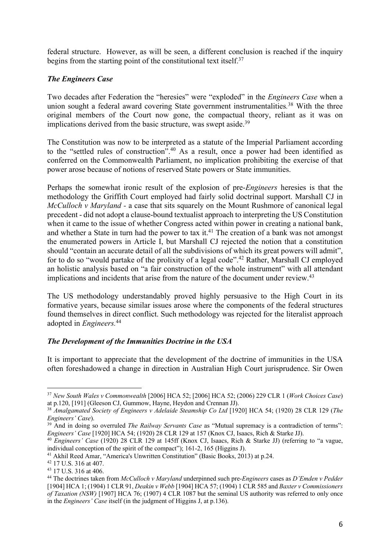federal structure. However, as will be seen, a different conclusion is reached if the inquiry begins from the starting point of the constitutional text itself.<sup>37</sup>

# *The Engineers Case*

Two decades after Federation the "heresies" were "exploded" in the *Engineers Case* when a union sought a federal award covering State government instrumentalities*.* <sup>38</sup> With the three original members of the Court now gone, the compactual theory, reliant as it was on implications derived from the basic structure, was swept aside.<sup>39</sup>

The Constitution was now to be interpreted as a statute of the Imperial Parliament according to the "settled rules of construction".40 As a result, once a power had been identified as conferred on the Commonwealth Parliament, no implication prohibiting the exercise of that power arose because of notions of reserved State powers or State immunities.

Perhaps the somewhat ironic result of the explosion of pre-*Engineers* heresies is that the methodology the Griffith Court employed had fairly solid doctrinal support. Marshall CJ in *McCulloch v Maryland - a case that sits squarely on the Mount Rushmore of canonical legal* precedent - did not adopt a clause-bound textualist approach to interpreting the US Constitution when it came to the issue of whether Congress acted within power in creating a national bank, and whether a State in turn had the power to tax it.<sup>41</sup> The creation of a bank was not amongst the enumerated powers in Article I, but Marshall CJ rejected the notion that a constitution should "contain an accurate detail of all the subdivisions of which its great powers will admit", for to do so "would partake of the prolixity of a legal code".<sup>42</sup> Rather, Marshall CJ employed an holistic analysis based on "a fair construction of the whole instrument" with all attendant implications and incidents that arise from the nature of the document under review.<sup>43</sup>

The US methodology understandably proved highly persuasive to the High Court in its formative years, because similar issues arose where the components of the federal structures found themselves in direct conflict. Such methodology was rejected for the literalist approach adopted in *Engineers.*<sup>44</sup>

# *The Development of the Immunities Doctrine in the USA*

It is important to appreciate that the development of the doctrine of immunities in the USA often foreshadowed a change in direction in Australian High Court jurisprudence. Sir Owen

<sup>37</sup> *New South Wales v Commonwealth* [2006] HCA 52; [2006] HCA 52; (2006) 229 CLR 1 (*Work Choices Case*) at p.120, [191] (Gleeson CJ, Gummow, Hayne, Heydon and Crennan JJ).

<sup>38</sup> *Amalgamated Society of Engineers v Adelaide Steamship Co Ltd* [1920] HCA 54; (1920) 28 CLR 129 (*The Engineers' Case*).

<sup>&</sup>lt;sup>39</sup> And in doing so overruled *The Railway Servants Case* as "Mutual supremacy is a contradiction of terms": *Engineers' Case* [1920] HCA 54; (1920) 28 CLR 129 at 157 (Knox CJ, Isaacs, Rich & Starke JJ).

<sup>40</sup> *Engineers' Case* (1920) 28 CLR 129 at 145ff (Knox CJ, Isaacs, Rich & Starke JJ) (referring to "a vague, individual conception of the spirit of the compact"); 161-2, 165 (Higgins J).

<sup>41</sup> Akhil Reed Amar, "America's Unwritten Constitution" (Basic Books, 2013) at p.24.

<sup>42</sup> 17 U.S. 316 at 407.

<sup>43</sup> 17 U.S. 316 at 406.

<sup>44</sup> The doctrines taken from *McCulloch v Maryland* underpinned such pre-*Engineers* cases as *D'Emden v Pedder*  [1904] HCA 1; (1904) 1 CLR 91, *Deakin v Webb* [1904] HCA 57; (1904) 1 CLR 585 and *Baxter v Commissioners of Taxation (NSW)* [1907] HCA 76; (1907) 4 CLR 1087 but the seminal US authority was referred to only once in the *Engineers' Case* itself (in the judgment of Higgins J, at p.136).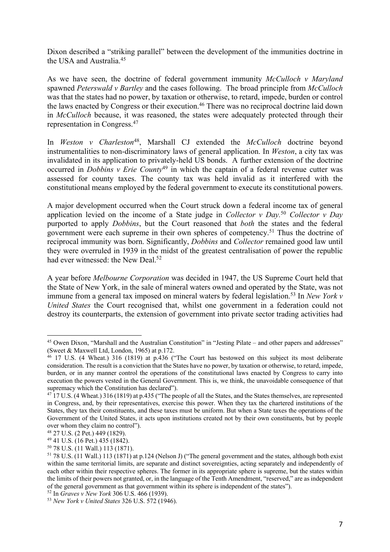Dixon described a "striking parallel" between the development of the immunities doctrine in the USA and Australia.45

As we have seen, the doctrine of federal government immunity *McCulloch v Maryland* spawned *Peterswald v Bartley* and the cases following. The broad principle from *McCulloch* was that the states had no power, by taxation or otherwise, to retard, impede, burden or control the laws enacted by Congress or their execution.<sup>46</sup> There was no reciprocal doctrine laid down in *McCulloch* because, it was reasoned, the states were adequately protected through their representation in Congress.47

In *Weston v Charleston*48, Marshall CJ extended the *McCulloch* doctrine beyond instrumentalities to non-discriminatory laws of general application. In *Weston*, a city tax was invalidated in its application to privately-held US bonds. A further extension of the doctrine occurred in *Dobbins v Erie County*<sup>49</sup> in which the captain of a federal revenue cutter was assessed for county taxes. The county tax was held invalid as it interfered with the constitutional means employed by the federal government to execute its constitutional powers.

A major development occurred when the Court struck down a federal income tax of general application levied on the income of a State judge in *Collector v Day.*<sup>50</sup> *Collector v Day*  purported to apply *Dobbins*, but the Court reasoned that *both* the states and the federal government were each supreme in their own spheres of competency.51 Thus the doctrine of reciprocal immunity was born. Significantly, *Dobbins* and *Collector* remained good law until they were overruled in 1939 in the midst of the greatest centralisation of power the republic had ever witnessed: the New Deal.<sup>52</sup>

A year before *Melbourne Corporation* was decided in 1947, the US Supreme Court held that the State of New York, in the sale of mineral waters owned and operated by the State, was not immune from a general tax imposed on mineral waters by federal legislation.<sup>53</sup> In *New York v United States* the Court recognised that, whilst one government in a federation could not destroy its counterparts, the extension of government into private sector trading activities had

<sup>&</sup>lt;sup>45</sup> Owen Dixon, "Marshall and the Australian Constitution" in "Jesting Pilate – and other papers and addresses" (Sweet & Maxwell Ltd, London, 1965) at p.172.

<sup>&</sup>lt;sup>46</sup> 17 U.S. (4 Wheat.) 316 (1819) at p.436 ("The Court has bestowed on this subject its most deliberate consideration. The result is a conviction that the States have no power, by taxation or otherwise, to retard, impede, burden, or in any manner control the operations of the constitutional laws enacted by Congress to carry into execution the powers vested in the General Government. This is, we think, the unavoidable consequence of that supremacy which the Constitution has declared").

<sup>&</sup>lt;sup>47</sup> 17 U.S. (4 Wheat.) 316 (1819) at p.435 ("The people of all the States, and the States themselves, are represented in Congress, and, by their representatives, exercise this power. When they tax the chartered institutions of the States, they tax their constituents, and these taxes must be uniform. But when a State taxes the operations of the Government of the United States, it acts upon institutions created not by their own constituents, but by people over whom they claim no control").

<sup>48</sup> 27 U.S. (2 Pet.) 449 (1829).

<sup>49</sup> 41 U.S. (16 Pet.) 435 (1842).

<sup>50</sup> 78 U.S. (11 Wall.) 113 (1871).

<sup>&</sup>lt;sup>51</sup> 78 U.S. (11 Wall.) 113 (1871) at p.124 (Nelson J) ("The general government and the states, although both exist within the same territorial limits, are separate and distinct sovereignties, acting separately and independently of each other within their respective spheres. The former in its appropriate sphere is supreme, but the states within the limits of their powers not granted, or, in the language of the Tenth Amendment, "reserved," are as independent of the general government as that government within its sphere is independent of the states").<br><sup>52</sup> In *Graves v New York* 306 U.S. 466 (1939).

<sup>&</sup>lt;sup>53</sup> New York *v* United States 326 U.S. 572 (1946).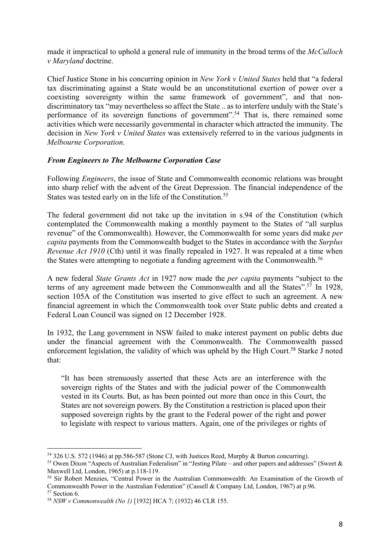made it impractical to uphold a general rule of immunity in the broad terms of the *McCulloch v Maryland* doctrine.

Chief Justice Stone in his concurring opinion in *New York v United States* held that "a federal tax discriminating against a State would be an unconstitutional exertion of power over a coexisting sovereignty within the same framework of government", and that nondiscriminatory tax "may nevertheless so affect the State .. as to interfere unduly with the State's performance of its sovereign functions of government".54 That is, there remained some activities which were necessarily governmental in character which attracted the immunity. The decision in *New York v United States* was extensively referred to in the various judgments in *Melbourne Corporation*.

# *From Engineers to The Melbourne Corporation Case*

Following *Engineers*, the issue of State and Commonwealth economic relations was brought into sharp relief with the advent of the Great Depression. The financial independence of the States was tested early on in the life of the Constitution.<sup>55</sup>

The federal government did not take up the invitation in s.94 of the Constitution (which contemplated the Commonwealth making a monthly payment to the States of "all surplus revenue" of the Commonwealth). However, the Commonwealth for some years did make *per capita* payments from the Commonwealth budget to the States in accordance with the *Surplus Revenue Act 1910* (Cth) until it was finally repealed in 1927. It was repealed at a time when the States were attempting to negotiate a funding agreement with the Commonwealth.<sup>56</sup>

A new federal *State Grants Act* in 1927 now made the *per capita* payments "subject to the terms of any agreement made between the Commonwealth and all the States".<sup>57</sup> In 1928, section 105A of the Constitution was inserted to give effect to such an agreement. A new financial agreement in which the Commonwealth took over State public debts and created a Federal Loan Council was signed on 12 December 1928.

In 1932, the Lang government in NSW failed to make interest payment on public debts due under the financial agreement with the Commonwealth. The Commonwealth passed enforcement legislation, the validity of which was upheld by the High Court.<sup>58</sup> Starke J noted that:

"It has been strenuously asserted that these Acts are an interference with the sovereign rights of the States and with the judicial power of the Commonwealth vested in its Courts. But, as has been pointed out more than once in this Court, the States are not sovereign powers. By the Constitution a restriction is placed upon their supposed sovereign rights by the grant to the Federal power of the right and power to legislate with respect to various matters. Again, one of the privileges or rights of

<sup>54</sup> 326 U.S. 572 (1946) at pp.586-587 (Stone CJ, with Justices Reed, Murphy & Burton concurring).

<sup>55</sup> Owen Dixon "Aspects of Australian Federalism" in "Jesting Pilate – and other papers and addresses" (Sweet & Maxwell Ltd, London, 1965) at p.118-119.

<sup>56</sup> Sir Robert Menzies, "Central Power in the Australian Commonwealth: An Examination of the Growth of Commonwealth Power in the Australian Federation" (Cassell & Company Ltd, London, 1967) at p.96. <sup>57</sup> Section 6.

<sup>58</sup> *NSW v Commonwealth (No 1)* [1932] HCA 7; (1932) 46 CLR 155.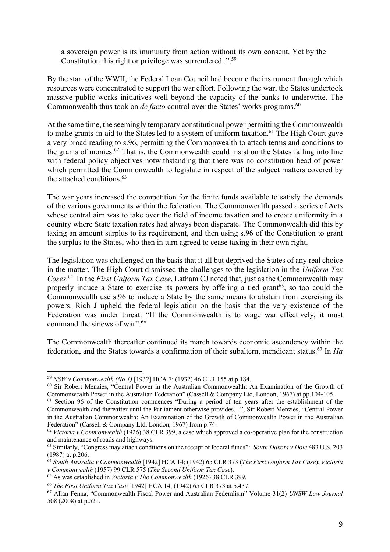a sovereign power is its immunity from action without its own consent. Yet by the Constitution this right or privilege was surrendered..".<sup>59</sup>

By the start of the WWII, the Federal Loan Council had become the instrument through which resources were concentrated to support the war effort. Following the war, the States undertook massive public works initiatives well beyond the capacity of the banks to underwrite. The Commonwealth thus took on *de facto* control over the States' works programs.<sup>60</sup>

At the same time, the seemingly temporary constitutional power permitting the Commonwealth to make grants-in-aid to the States led to a system of uniform taxation.<sup>61</sup> The High Court gave a very broad reading to s.96, permitting the Commonwealth to attach terms and conditions to the grants of monies.62 That is, the Commonwealth could insist on the States falling into line with federal policy objectives notwithstanding that there was no constitution head of power which permitted the Commonwealth to legislate in respect of the subject matters covered by the attached conditions  $63$ 

The war years increased the competition for the finite funds available to satisfy the demands of the various governments within the federation. The Commonwealth passed a series of Acts whose central aim was to take over the field of income taxation and to create uniformity in a country where State taxation rates had always been disparate. The Commonwealth did this by taxing an amount surplus to its requirement, and then using s.96 of the Constitution to grant the surplus to the States, who then in turn agreed to cease taxing in their own right.

The legislation was challenged on the basis that it all but deprived the States of any real choice in the matter. The High Court dismissed the challenges to the legislation in the *Uniform Tax Cases*. 64 In the *First Uniform Tax Case*, Latham CJ noted that, just as the Commonwealth may properly induce a State to exercise its powers by offering a tied grant<sup>65</sup>, so too could the Commonwealth use s.96 to induce a State by the same means to abstain from exercising its powers. Rich J upheld the federal legislation on the basis that the very existence of the Federation was under threat: "If the Commonwealth is to wage war effectively, it must command the sinews of war".66

The Commonwealth thereafter continued its march towards economic ascendency within the federation, and the States towards a confirmation of their subaltern, mendicant status.67 In *Ha* 

<sup>59</sup> *NSW v Commonwealth (No 1)* [1932] HCA 7; (1932) 46 CLR 155 at p.184.

<sup>60</sup> Sir Robert Menzies, "Central Power in the Australian Commonwealth: An Examination of the Growth of Commonwealth Power in the Australian Federation" (Cassell & Company Ltd, London, 1967) at pp.104-105.

<sup>&</sup>lt;sup>61</sup> Section 96 of the Constitution commences "During a period of ten years after the establishment of the Commonwealth and thereafter until the Parliament otherwise provides…"; Sir Robert Menzies, "Central Power in the Australian Commonwealth: An Examination of the Growth of Commonwealth Power in the Australian Federation" (Cassell & Company Ltd, London, 1967) from p.74.

<sup>62</sup> *Victoria v Commonwealth* (1926) 38 CLR 399, a case which approved a co-operative plan for the construction and maintenance of roads and highways.

<sup>63</sup> Similarly, "Congress may attach conditions on the receipt of federal funds": *South Dakota v Dole* 483 U.S. 203 (1987) at p.206.

<sup>64</sup> *South Australia v Commonwealth* [1942] HCA 14; (1942) 65 CLR 373 (*The First Uniform Tax Case*); *Victoria v Commonwealth* (1957) 99 CLR 575 (*The Second Uniform Tax Case*).

<sup>65</sup> As was established in *Victoria v The Commonwealth* (1926) 38 CLR 399.

<sup>66</sup> *The First Uniform Tax Case* [1942] HCA 14; (1942) 65 CLR 373 at p.437.

<sup>67</sup> Allan Fenna, "Commonwealth Fiscal Power and Australian Federalism" Volume 31(2) *UNSW Law Journal* 508 (2008) at p.521.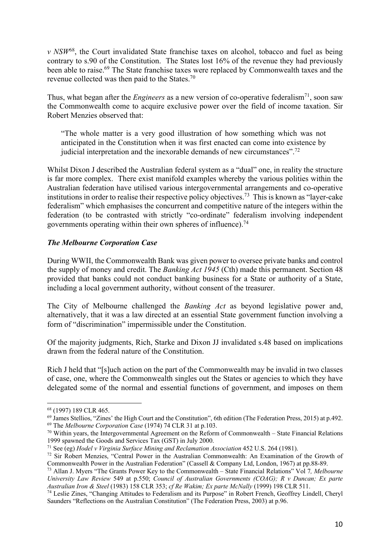*v NSW*68, the Court invalidated State franchise taxes on alcohol, tobacco and fuel as being contrary to s.90 of the Constitution. The States lost 16% of the revenue they had previously been able to raise.<sup>69</sup> The State franchise taxes were replaced by Commonwealth taxes and the revenue collected was then paid to the States.70

Thus, what began after the *Engineers* as a new version of co-operative federalism<sup>71</sup>, soon saw the Commonwealth come to acquire exclusive power over the field of income taxation. Sir Robert Menzies observed that:

"The whole matter is a very good illustration of how something which was not anticipated in the Constitution when it was first enacted can come into existence by judicial interpretation and the inexorable demands of new circumstances".72

Whilst Dixon J described the Australian federal system as a "dual" one, in reality the structure is far more complex. There exist manifold examples whereby the various polities within the Australian federation have utilised various intergovernmental arrangements and co-operative institutions in order to realise their respective policy objectives.73 This is known as "layer-cake federalism" which emphasises the concurrent and competitive nature of the integers within the federation (to be contrasted with strictly "co-ordinate" federalism involving independent governments operating within their own spheres of influence).<sup>74</sup>

## *The Melbourne Corporation Case*

During WWII, the Commonwealth Bank was given power to oversee private banks and control the supply of money and credit. The *Banking Act 1945* (Cth) made this permanent. Section 48 provided that banks could not conduct banking business for a State or authority of a State, including a local government authority, without consent of the treasurer.

The City of Melbourne challenged the *Banking Act* as beyond legislative power and, alternatively, that it was a law directed at an essential State government function involving a form of "discrimination" impermissible under the Constitution.

Of the majority judgments, Rich, Starke and Dixon JJ invalidated s.48 based on implications drawn from the federal nature of the Constitution.

Rich J held that "[s]uch action on the part of the Commonwealth may be invalid in two classes of case, one, where the Commonwealth singles out the States or agencies to which they have delegated some of the normal and essential functions of government, and imposes on them

<sup>68</sup> (1997) 189 CLR 465.

<sup>&</sup>lt;sup>69</sup> James Stellios, "Zines' the High Court and the Constitution", 6th edition (The Federation Press, 2015) at p.492. <sup>69</sup> The *Melbourne Corporation Case* (1974) 74 CLR 31 at p.103.<br><sup>70</sup> Within years, the Intergovernmental Agreement on the Reform of Commonwealth – State Financial Relations

<sup>1999</sup> spawned the Goods and Services Tax (GST) in July 2000.

<sup>71</sup> See (eg) *Hodel v Virginia Surface Mining and Reclamation Association* 452 U.S. 264 (1981).

<sup>&</sup>lt;sup>72</sup> Sir Robert Menzies, "Central Power in the Australian Commonwealth: An Examination of the Growth of Commonwealth Power in the Australian Federation" (Cassell & Company Ltd, London, 1967) at pp.88-89.

<sup>73</sup> Allan J. Myers "The Grants Power Key to the Commonwealth – State Financial Relations" Vol 7*, Melbourne University Law Review* 549 at p.550; *Council of Australian Governments (COAG); R v Duncan; Ex parte Australian Iron & Steel* (1983) 158 CLR 353; *cf Re Wakim; Ex parte McNally* (1999) 198 CLR 511.

<sup>74</sup> Leslie Zines, "Changing Attitudes to Federalism and its Purpose" in Robert French, Geoffrey Lindell, Cheryl Saunders "Reflections on the Australian Constitution" (The Federation Press, 2003) at p.96.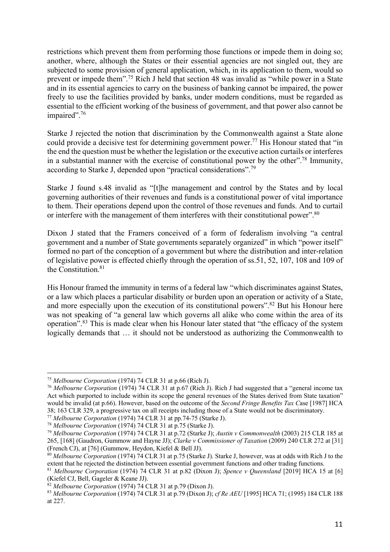restrictions which prevent them from performing those functions or impede them in doing so; another, where, although the States or their essential agencies are not singled out, they are subjected to some provision of general application, which, in its application to them, would so prevent or impede them".75 Rich J held that section 48 was invalid as "while power in a State and in its essential agencies to carry on the business of banking cannot be impaired, the power freely to use the facilities provided by banks, under modern conditions, must be regarded as essential to the efficient working of the business of government, and that power also cannot be impaired".<sup>76</sup>

Starke J rejected the notion that discrimination by the Commonwealth against a State alone could provide a decisive test for determining government power.<sup>77</sup> His Honour stated that "in the end the question must be whether the legislation or the executive action curtails or interferes in a substantial manner with the exercise of constitutional power by the other".78 Immunity, according to Starke J, depended upon "practical considerations".79

Starke J found s.48 invalid as "[t]he management and control by the States and by local governing authorities of their revenues and funds is a constitutional power of vital importance to them. Their operations depend upon the control of those revenues and funds. And to curtail or interfere with the management of them interferes with their constitutional power".<sup>80</sup>

Dixon J stated that the Framers conceived of a form of federalism involving "a central government and a number of State governments separately organized" in which "power itself" formed no part of the conception of a government but where the distribution and inter-relation of legislative power is effected chiefly through the operation of ss.51, 52, 107, 108 and 109 of the Constitution.<sup>81</sup>

His Honour framed the immunity in terms of a federal law "which discriminates against States, or a law which places a particular disability or burden upon an operation or activity of a State, and more especially upon the execution of its constitutional powers".<sup>82</sup> But his Honour here was not speaking of "a general law which governs all alike who come within the area of its operation".83 This is made clear when his Honour later stated that "the efficacy of the system logically demands that … it should not be understood as authorizing the Commonwealth to

<sup>75</sup> *Melbourne Corporation* (1974) 74 CLR 31 at p.66 (Rich J).

<sup>76</sup> *Melbourne Corporation* (1974) 74 CLR 31 at p.67 (Rich J). Rich J had suggested that a "general income tax Act which purported to include within its scope the general revenues of the States derived from State taxation" would be invalid (at p.66). However, based on the outcome of the *Second Fringe Benefits Tax C*ase [1987] HCA 38; 163 CLR 329, a progressive tax on all receipts including those of a State would not be discriminatory.

<sup>77</sup> *Melbourne Corporation* (1974) 74 CLR 31 at pp.74-75 (Starke J).

<sup>78</sup> *Melbourne Corporation* (1974) 74 CLR 31 at p.75 (Starke J).

<sup>79</sup> *Melbourne Corporation* (1974) 74 CLR 31 at p.72 (Starke J); *Austin v Commonwealth* (2003) 215 CLR 185 at 265, [168] (Gaudron, Gummow and Hayne JJ); *Clarke v Commissioner of Taxation* (2009) 240 CLR 272 at [31] (French CJ), at [76] (Gummow, Heydon, Kiefel & Bell JJ).

<sup>&</sup>lt;sup>80</sup> *Melbourne Corporation* (1974) 74 CLR 31 at p.75 (Starke J). Starke J, however, was at odds with Rich J to the extent that he rejected the distinction between essential government functions and other trading functions

<sup>&</sup>lt;sup>81</sup> Melbourne Corporation (1974) 74 CLR 31 at p.82 (Dixon J); *Spence v Queensland* [2019] HCA 15 at [6] (Kiefel CJ, Bell, Gageler & Keane JJ).

<sup>82</sup> *Melbourne Corporation* (1974) 74 CLR 31 at p.79 (Dixon J).

<sup>83</sup> *Melbourne Corporation* (1974) 74 CLR 31 at p.79 (Dixon J); *cf Re AEU* [1995] HCA 71; (1995) 184 CLR 188 at 227.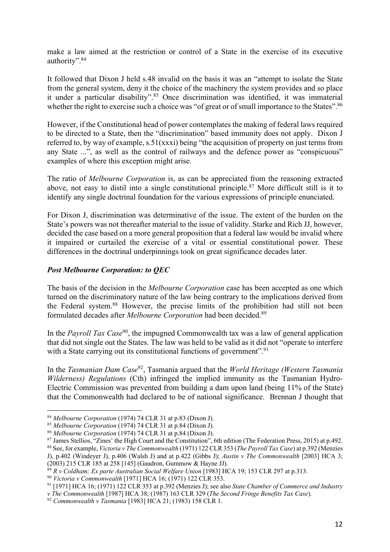make a law aimed at the restriction or control of a State in the exercise of its executive authority".84

It followed that Dixon J held s.48 invalid on the basis it was an "attempt to isolate the State from the general system, deny it the choice of the machinery the system provides and so place it under a particular disability".85 Once discrimination was identified, it was immaterial whether the right to exercise such a choice was "of great or of small importance to the States".<sup>86</sup>

However, if the Constitutional head of power contemplates the making of federal laws required to be directed to a State, then the "discrimination" based immunity does not apply. Dixon J referred to, by way of example, s.51(xxxi) being "the acquisition of property on just terms from any State ...", as well as the control of railways and the defence power as "conspicuous" examples of where this exception might arise.

The ratio of *Melbourne Corporation* is, as can be appreciated from the reasoning extracted above, not easy to distil into a single constitutional principle.<sup>87</sup> More difficult still is it to identify any single doctrinal foundation for the various expressions of principle enunciated.

For Dixon J, discrimination was determinative of the issue. The extent of the burden on the State's powers was not thereafter material to the issue of validity. Starke and Rich JJ, however, decided the case based on a more general proposition that a federal law would be invalid where it impaired or curtailed the exercise of a vital or essential constitutional power. These differences in the doctrinal underpinnings took on great significance decades later.

# *Post Melbourne Corporation: to QEC*

The basis of the decision in the *Melbourne Corporation* case has been accepted as one which turned on the discriminatory nature of the law being contrary to the implications derived from the Federal system.88 However, the precise limits of the prohibition had still not been formulated decades after *Melbourne Corporation* had been decided.89

In the *Payroll Tax Case*<sup>90</sup>, the impugned Commonwealth tax was a law of general application that did not single out the States. The law was held to be valid as it did not "operate to interfere with a State carrying out its constitutional functions of government".<sup>91</sup>

In the *Tasmanian Dam Case*92, Tasmania argued that the *World Heritage (Western Tasmania Wilderness) Regulations* (Cth) infringed the implied immunity as the Tasmanian Hydro-Electric Commission was prevented from building a dam upon land (being 11% of the State) that the Commonwealth had declared to be of national significance. Brennan J thought that

<sup>91</sup> [1971] HCA 16; (1971) 122 CLR 353 at p.392 (Menzies J); see also *State Chamber of Commerce and Industry* 

<sup>84</sup> *Melbourne Corporation* (1974) 74 CLR 31 at p.83 (Dixon J).

<sup>85</sup> *Melbourne Corporation* (1974) 74 CLR 31 at p.84 (Dixon J).

<sup>86</sup> *Melbourne Corporation* (1974) 74 CLR 31 at p.84 (Dixon J).

<sup>&</sup>lt;sup>87</sup> James Stellios, "Zines' the High Court and the Constitution", 6th edition (The Federation Press, 2015) at p.492.

<sup>88</sup> See, for example, *Victoria v The Commonwealth* (1971) 122 CLR 353 (*The Payroll Tax Case*) at p.392 (Menzies J), p.402 (Windeyer J), p.406 (Walsh J) and at p.422 (Gibbs J); *Austin v The Commonwealth* [2003] HCA 3; (2003) 215 CLR 185 at 258 [145] (Gaudron, Gummow & Hayne JJ).

<sup>89</sup> *R v Coldham; Ex parte Australian Social Welfare Union* [1983] HCA 19; 153 CLR 297 at p.313.

<sup>90</sup> *Victoria v Commonwealth* [1971] HCA 16; (1971) 122 CLR 353.

*v The Commonwealth* [1987] HCA 38; (1987) 163 CLR 329 (*The Second Fringe Benefits Tax Case*).

<sup>92</sup> *Commonwealth v Tasmania* [1983] HCA 21; (1983) 158 CLR 1.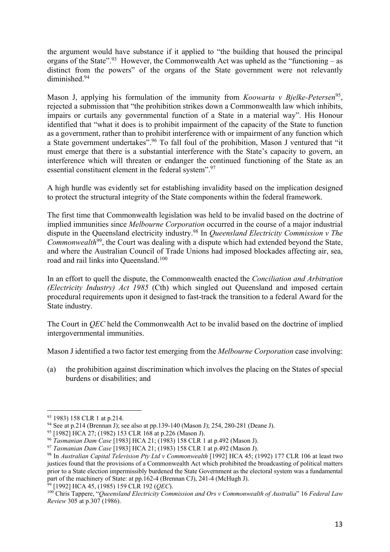the argument would have substance if it applied to "the building that housed the principal organs of the State".<sup>93</sup> However, the Commonwealth Act was upheld as the "functioning – as distinct from the powers" of the organs of the State government were not relevantly diminished.94

Mason J, applying his formulation of the immunity from *Koowarta v Bjelke-Petersen*<sup>95</sup>, rejected a submission that "the prohibition strikes down a Commonwealth law which inhibits, impairs or curtails any governmental function of a State in a material way". His Honour identified that "what it does is to prohibit impairment of the capacity of the State to function as a government, rather than to prohibit interference with or impairment of any function which a State government undertakes".96 To fall foul of the prohibition, Mason J ventured that "it must emerge that there is a substantial interference with the State's capacity to govern, an interference which will threaten or endanger the continued functioning of the State as an essential constituent element in the federal system".97

A high hurdle was evidently set for establishing invalidity based on the implication designed to protect the structural integrity of the State components within the federal framework.

The first time that Commonwealth legislation was held to be invalid based on the doctrine of implied immunities since *Melbourne Corporation* occurred in the course of a major industrial dispute in the Queensland electricity industry.98 In *Queensland Electricity Commission v The Commonwealth*99, the Court was dealing with a dispute which had extended beyond the State, and where the Australian Council of Trade Unions had imposed blockades affecting air, sea, road and rail links into Queensland.100

In an effort to quell the dispute, the Commonwealth enacted the *Conciliation and Arbitration (Electricity Industry) Act 1985* (Cth) which singled out Queensland and imposed certain procedural requirements upon it designed to fast-track the transition to a federal Award for the State industry.

The Court in *QEC* held the Commonwealth Act to be invalid based on the doctrine of implied intergovernmental immunities.

Mason J identified a two factor test emerging from the *Melbourne Corporation* case involving:

(a) the prohibition against discrimination which involves the placing on the States of special burdens or disabilities; and

<sup>99</sup> [1992] HCA 45, (1985) 159 CLR 192 (*QEC*).

<sup>93</sup> 1983) 158 CLR 1 at p.214.

<sup>94</sup> See at p.214 (Brennan J); see also at pp.139-140 (Mason J); 254, 280-281 (Deane J).

<sup>95</sup> [1982] HCA 27; (1982) 153 CLR 168 at p.226 (Mason J).

<sup>96</sup> *Tasmanian Dam Case* [1983] HCA 21; (1983) 158 CLR 1 at p.492 (Mason J).

<sup>97</sup> *Tasmanian Dam Case* [1983] HCA 21; (1983) 158 CLR 1 at p.492 (Mason J).

<sup>98</sup> In *Australian Capital Television Pty Ltd v Commonwealth* [1992] HCA 45; (1992) 177 CLR 106 at least two justices found that the provisions of a Commonwealth Act which prohibited the broadcasting of political matters prior to a State election impermissibly burdened the State Government as the electoral system was a fundamental part of the machinery of State: at pp.162-4 (Brennan CJ), 241-4 (McHugh J).

<sup>100</sup> Chris Tappere, "*Queensland Electricity Commission and Ors v Commonwealth of Australia*" 16 *Federal Law Review* 305 at p.307 (1986).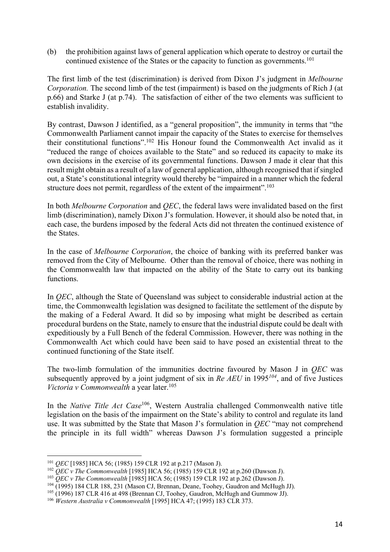(b) the prohibition against laws of general application which operate to destroy or curtail the continued existence of the States or the capacity to function as governments.<sup>101</sup>

The first limb of the test (discrimination) is derived from Dixon J's judgment in *Melbourne Corporation.* The second limb of the test (impairment) is based on the judgments of Rich J (at p.66) and Starke J (at p.74). The satisfaction of either of the two elements was sufficient to establish invalidity.

By contrast, Dawson J identified, as a "general proposition", the immunity in terms that "the Commonwealth Parliament cannot impair the capacity of the States to exercise for themselves their constitutional functions".102 His Honour found the Commonwealth Act invalid as it "reduced the range of choices available to the State" and so reduced its capacity to make its own decisions in the exercise of its governmental functions. Dawson J made it clear that this result might obtain as a result of a law of general application, although recognised that if singled out, a State's constitutional integrity would thereby be "impaired in a manner which the federal structure does not permit, regardless of the extent of the impairment".<sup>103</sup>

In both *Melbourne Corporation* and *QEC*, the federal laws were invalidated based on the first limb (discrimination), namely Dixon J's formulation. However, it should also be noted that, in each case, the burdens imposed by the federal Acts did not threaten the continued existence of the States.

In the case of *Melbourne Corporation*, the choice of banking with its preferred banker was removed from the City of Melbourne. Other than the removal of choice, there was nothing in the Commonwealth law that impacted on the ability of the State to carry out its banking functions.

In *QEC*, although the State of Queensland was subject to considerable industrial action at the time, the Commonwealth legislation was designed to facilitate the settlement of the dispute by the making of a Federal Award. It did so by imposing what might be described as certain procedural burdens on the State, namely to ensure that the industrial dispute could be dealt with expeditiously by a Full Bench of the federal Commission. However, there was nothing in the Commonwealth Act which could have been said to have posed an existential threat to the continued functioning of the State itself.

The two-limb formulation of the immunities doctrine favoured by Mason J in *QEC* was subsequently approved by a joint judgment of six in *Re AEU* in 1995*<sup>104</sup>*, and of five Justices *Victoria v Commonwealth* a year later.<sup>105</sup>

In the *Native Title Act Case*106, Western Australia challenged Commonwealth native title legislation on the basis of the impairment on the State's ability to control and regulate its land use. It was submitted by the State that Mason J's formulation in *QEC* "may not comprehend the principle in its full width" whereas Dawson J's formulation suggested a principle

<sup>101</sup> *QEC* [1985] HCA 56; (1985) 159 CLR 192 at p.217 (Mason J).

<sup>102</sup> *QEC v The Commonwealth* [1985] HCA 56; (1985) 159 CLR 192 at p.260 (Dawson J).

<sup>103</sup> *QEC v The Commonwealth* [1985] HCA 56; (1985) 159 CLR 192 at p.262 (Dawson J).

<sup>104</sup> (1995) 184 CLR 188, 231 (Mason CJ, Brennan, Deane, Toohey, Gaudron and McHugh JJ).

<sup>105</sup> (1996) 187 CLR 416 at 498 (Brennan CJ, Toohey, Gaudron, McHugh and Gummow JJ).

<sup>106</sup> *Western Australia v Commonwealth* [1995] HCA 47; (1995) 183 CLR 373.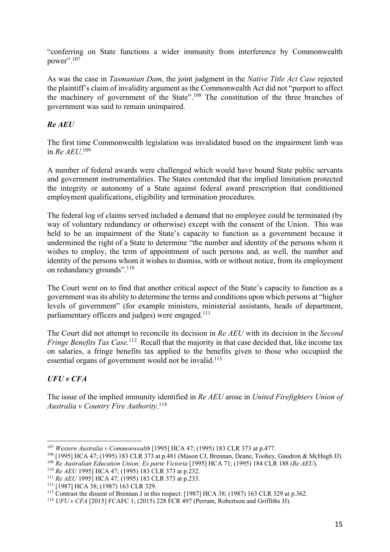"conferring on State functions a wider immunity from interference by Commonwealth power".<sup>107</sup>

As was the case in *Tasmanian Dam*, the joint judgment in the *Native Title Act Case* rejected the plaintiff's claim of invalidity argument as the Commonwealth Act did not "purport to affect the machinery of government of the State".108 The constitution of the three branches of government was said to remain unimpaired.

# *Re AEU*

The first time Commonwealth legislation was invalidated based on the impairment limb was in *Re AEU*. 109

A number of federal awards were challenged which would have bound State public servants and government instrumentalities. The States contended that the implied limitation protected the integrity or autonomy of a State against federal award prescription that conditioned employment qualifications, eligibility and termination procedures.

The federal log of claims served included a demand that no employee could be terminated (by way of voluntary redundancy or otherwise) except with the consent of the Union. This was held to be an impairment of the State's capacity to function as a government because it undermined the right of a State to determine "the number and identity of the persons whom it wishes to employ, the term of appointment of such persons and, as well, the number and identity of the persons whom it wishes to dismiss, with or without notice, from its employment on redundancy grounds".<sup>110</sup>

The Court went on to find that another critical aspect of the State's capacity to function as a government was its ability to determine the terms and conditions upon which persons at "higher levels of government" (for example ministers, ministerial assistants, heads of department, parliamentary officers and judges) were engaged.<sup>111</sup>

The Court did not attempt to reconcile its decision in *Re AEU* with its decision in the *Second*  Fringe Benefits Tax Case.<sup>112</sup> Recall that the majority in that case decided that, like income tax on salaries, a fringe benefits tax applied to the benefits given to those who occupied the essential organs of government would not be invalid.<sup>113</sup>

# *UFU v CFA*

The issue of the implied immunity identified in *Re AEU* arose in *United Firefighters Union of Australia v Country Fire Authority*. 114

<sup>107</sup> *Western Australia v Commonwealth* [1995] HCA 47; (1995) 183 CLR 373 at p.477.

<sup>108</sup> [1995] HCA 47; (1995) 183 CLR 373 at p.481 (Mason CJ, Brennan, Deane, Toohey, Gaudron & McHugh JJ).

<sup>&</sup>lt;sup>109</sup> *Re Australian Education Union; Ex parte Victoria* [1995] HCA 71; (1995) 184 CLR 188 (*Re AEU*).

<sup>110</sup> *Re AEU* 1995] HCA 47; (1995) 183 CLR 373 at p.232.

<sup>&</sup>lt;sup>111</sup> *Re AEU* 1995] HCA 47; (1995) 183 CLR 373 at p.233.<br><sup>112</sup> [1987] HCA 38; (1987) 163 CLR 329.

<sup>113</sup> Contrast the dissent of Brennan J in this respect: [1987] HCA 38; (1987) 163 CLR 329 at p.362.

<sup>&</sup>lt;sup>114</sup> *UFU v CFA* [2015] FCAFC 1; (2015) 228 FCR 497 (Perram, Robertson and Griffiths JJ).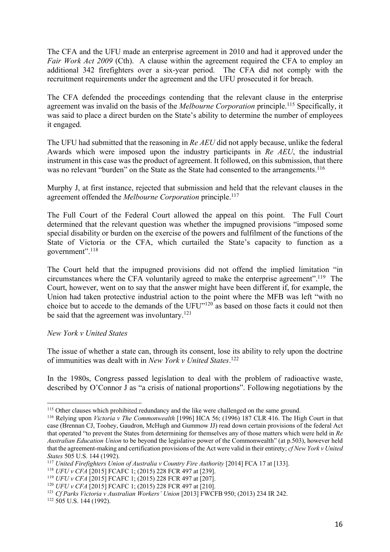The CFA and the UFU made an enterprise agreement in 2010 and had it approved under the *Fair Work Act 2009* (Cth). A clause within the agreement required the CFA to employ an additional 342 firefighters over a six-year period. The CFA did not comply with the recruitment requirements under the agreement and the UFU prosecuted it for breach.

The CFA defended the proceedings contending that the relevant clause in the enterprise agreement was invalid on the basis of the *Melbourne Corporation* principle.115 Specifically, it was said to place a direct burden on the State's ability to determine the number of employees it engaged.

The UFU had submitted that the reasoning in *Re AEU* did not apply because, unlike the federal Awards which were imposed upon the industry participants in *Re AEU*, the industrial instrument in this case was the product of agreement. It followed, on this submission, that there was no relevant "burden" on the State as the State had consented to the arrangements.<sup>116</sup>

Murphy J, at first instance, rejected that submission and held that the relevant clauses in the agreement offended the *Melbourne Corporation* principle.117

The Full Court of the Federal Court allowed the appeal on this point. The Full Court determined that the relevant question was whether the impugned provisions "imposed some special disability or burden on the exercise of the powers and fulfilment of the functions of the State of Victoria or the CFA, which curtailed the State's capacity to function as a government".118

The Court held that the impugned provisions did not offend the implied limitation "in circumstances where the CFA voluntarily agreed to make the enterprise agreement".<sup>119</sup> The Court, however, went on to say that the answer might have been different if, for example, the Union had taken protective industrial action to the point where the MFB was left "with no choice but to accede to the demands of the UFU"120 as based on those facts it could not then be said that the agreement was involuntary.121

### *New York v United States*

The issue of whether a state can, through its consent, lose its ability to rely upon the doctrine of immunities was dealt with in *New York v United States*. 122

In the 1980s, Congress passed legislation to deal with the problem of radioactive waste, described by O'Connor J as "a crisis of national proportions". Following negotiations by the

<sup>&</sup>lt;sup>115</sup> Other clauses which prohibited redundancy and the like were challenged on the same ground.

<sup>116</sup> Relying upon *Victoria v The Commonwealth* [1996] HCA 56; (1996) 187 CLR 416. The High Court in that case (Brennan CJ, Toohey, Gaudron, McHugh and Gummow JJ) read down certain provisions of the federal Act that operated "to prevent the States from determining for themselves any of those matters which were held in *Re Australian Education Union* to be beyond the legislative power of the Commonwealth" (at p.503), however held that the agreement-making and certification provisions of the Act were valid in their entirety; *cf New York v United States* 505 U.S. 144 (1992).

<sup>&</sup>lt;sup>117</sup> *United Firefighters Union of Australia v Country Fire Authority* [2014] FCA 17 at [133].

<sup>118</sup> *UFU v CFA* [2015] FCAFC 1; (2015) 228 FCR 497 at [239].

<sup>119</sup> *UFU v CFA* [2015] FCAFC 1; (2015) 228 FCR 497 at [207].

<sup>120</sup> *UFU v CFA* [2015] FCAFC 1; (2015) 228 FCR 497 at [210].

<sup>&</sup>lt;sup>121</sup> *Cf Parks Victoria v Australian Workers' Union* [2013] FWCFB 950; (2013) 234 IR 242.

 $122$  505 U.S. 144 (1992).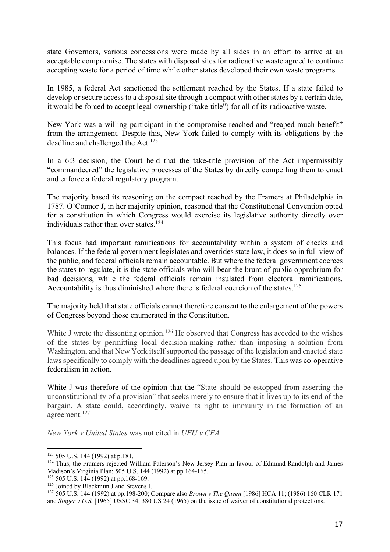state Governors, various concessions were made by all sides in an effort to arrive at an acceptable compromise. The states with disposal sites for radioactive waste agreed to continue accepting waste for a period of time while other states developed their own waste programs.

In 1985, a federal Act sanctioned the settlement reached by the States. If a state failed to develop or secure access to a disposal site through a compact with other states by a certain date, it would be forced to accept legal ownership ("take-title") for all of its radioactive waste.

New York was a willing participant in the compromise reached and "reaped much benefit" from the arrangement. Despite this, New York failed to comply with its obligations by the deadline and challenged the Act.<sup>123</sup>

In a 6:3 decision, the Court held that the take-title provision of the Act impermissibly "commandeered" the legislative processes of the States by directly compelling them to enact and enforce a federal regulatory program.

The majority based its reasoning on the compact reached by the Framers at Philadelphia in 1787. O'Connor J, in her majority opinion, reasoned that the Constitutional Convention opted for a constitution in which Congress would exercise its legislative authority directly over individuals rather than over states.<sup>124</sup>

This focus had important ramifications for accountability within a system of checks and balances. If the federal government legislates and overrides state law, it does so in full view of the public, and federal officials remain accountable. But where the federal government coerces the states to regulate, it is the state officials who will bear the brunt of public opprobrium for bad decisions, while the federal officials remain insulated from electoral ramifications. Accountability is thus diminished where there is federal coercion of the states.<sup>125</sup>

The majority held that state officials cannot therefore consent to the enlargement of the powers of Congress beyond those enumerated in the Constitution.

White J wrote the dissenting opinion.<sup>126</sup> He observed that Congress has acceded to the wishes of the states by permitting local decision-making rather than imposing a solution from Washington, and that New York itself supported the passage of the legislation and enacted state laws specifically to comply with the deadlines agreed upon by the States. This was co-operative federalism in action.

White J was therefore of the opinion that the "State should be estopped from asserting the unconstitutionality of a provision" that seeks merely to ensure that it lives up to its end of the bargain. A state could, accordingly, waive its right to immunity in the formation of an agreement. 127

*New York v United States* was not cited in *UFU v CFA.* 

<sup>123</sup> 505 U.S. 144 (1992) at p.181.

<sup>&</sup>lt;sup>124</sup> Thus, the Framers rejected William Paterson's New Jersey Plan in favour of Edmund Randolph and James Madison's Virginia Plan: 505 U.S. 144 (1992) at pp.164-165.

<sup>125</sup> 505 U.S. 144 (1992) at pp.168-169.

<sup>126</sup> Joined by Blackmun J and Stevens J.

<sup>127</sup> 505 U.S. 144 (1992) at pp.198-200; Compare also *Brown v The Queen* [1986] HCA 11; (1986) 160 CLR 171 and *Singer v U.S.* [1965] USSC 34; 380 US 24 (1965) on the issue of waiver of constitutional protections.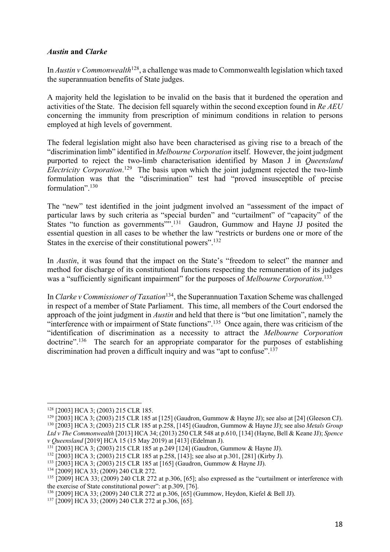### *Austin* **and** *Clarke*

In *Austin v Commonwealth*128, a challenge was made to Commonwealth legislation which taxed the superannuation benefits of State judges.

A majority held the legislation to be invalid on the basis that it burdened the operation and activities of the State. The decision fell squarely within the second exception found in *Re AEU* concerning the immunity from prescription of minimum conditions in relation to persons employed at high levels of government.

The federal legislation might also have been characterised as giving rise to a breach of the "discrimination limb" identified in *Melbourne Corporation* itself. However, the joint judgment purported to reject the two-limb characterisation identified by Mason J in *Queensland Electricity Corporation*. 129 The basis upon which the joint judgment rejected the two-limb formulation was that the "discrimination" test had "proved insusceptible of precise formulation".<sup>130</sup>

The "new" test identified in the joint judgment involved an "assessment of the impact of particular laws by such criteria as "special burden" and "curtailment" of "capacity" of the States "to function as governments"".<sup>131</sup> Gaudron, Gummow and Hayne JJ posited the essential question in all cases to be whether the law "restricts or burdens one or more of the States in the exercise of their constitutional powers".<sup>132</sup>

In *Austin*, it was found that the impact on the State's "freedom to select" the manner and method for discharge of its constitutional functions respecting the remuneration of its judges was a "sufficiently significant impairment" for the purposes of *Melbourne Corporation*. 133

In *Clarke v Commissioner of Taxation*134, the Superannuation Taxation Scheme was challenged in respect of a member of State Parliament. This time, all members of the Court endorsed the approach of the joint judgment in *Austin* and held that there is "but one limitation", namely the "interference with or impairment of State functions".<sup>135</sup> Once again, there was criticism of the "identification of discrimination as a necessity to attract the *Melbourne Corporation*  doctrine".<sup>136</sup> The search for an appropriate comparator for the purposes of establishing discrimination had proven a difficult inquiry and was "apt to confuse". 137

<sup>128</sup> [2003] HCA 3; (2003) 215 CLR 185.

<sup>&</sup>lt;sup>129</sup> [2003] HCA 3; (2003) 215 CLR 185 at [125] (Gaudron, Gummow & Hayne JJ); see also at [24] (Gleeson CJ). <sup>130</sup> [2003] HCA 3; (2003) 215 CLR 185 at p.258, [145] (Gaudron, Gummow & Hayne JJ); see also *Metals Group Ltd v The Commonwealth* [2013] HCA 34; (2013) 250 CLR 548 at p.610, [134] (Hayne, Bell & Keane JJ); *Spence* 

*v Queensland* [2019] HCA 15 (15 May 2019) at [413] (Edelman J).

 $131$  [2003] HCA 3; (2003) 215 CLR 185 at p.249 [124] (Gaudron, Gummow & Hayne JJ).

<sup>132</sup> [2003] HCA 3; (2003) 215 CLR 185 at p.258, [143]; see also at p.301, [281] (Kirby J).

<sup>133</sup> [2003] HCA 3; (2003) 215 CLR 185 at [165] (Gaudron, Gummow & Hayne JJ).

<sup>&</sup>lt;sup>134</sup> [2009] HCA 33; (2009) 240 CLR 272.

 $135$  [2009] HCA 33; (2009) 240 CLR 272 at p.306, [65]; also expressed as the "curtailment or interference with the exercise of State constitutional power": at p.309, [76].

<sup>136</sup> [2009] HCA 33; (2009) 240 CLR 272 at p.306, [65] (Gummow, Heydon, Kiefel & Bell JJ).

<sup>137</sup> [2009] HCA 33; (2009) 240 CLR 272 at p.306, [65].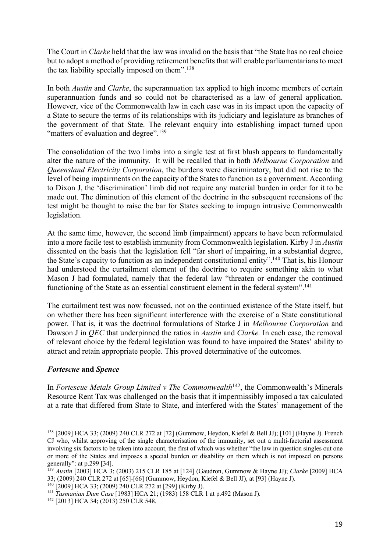The Court in *Clarke* held that the law was invalid on the basis that "the State has no real choice but to adopt a method of providing retirement benefits that will enable parliamentarians to meet the tax liability specially imposed on them".<sup>138</sup>

In both *Austin* and *Clarke*, the superannuation tax applied to high income members of certain superannuation funds and so could not be characterised as a law of general application. However, vice of the Commonwealth law in each case was in its impact upon the capacity of a State to secure the terms of its relationships with its judiciary and legislature as branches of the government of that State. The relevant enquiry into establishing impact turned upon "matters of evaluation and degree".<sup>139</sup>

The consolidation of the two limbs into a single test at first blush appears to fundamentally alter the nature of the immunity. It will be recalled that in both *Melbourne Corporation* and *Queensland Electricity Corporation*, the burdens were discriminatory, but did not rise to the level of being impairments on the capacity of the States to function as a government. According to Dixon J, the 'discrimination' limb did not require any material burden in order for it to be made out. The diminution of this element of the doctrine in the subsequent recensions of the test might be thought to raise the bar for States seeking to impugn intrusive Commonwealth legislation.

At the same time, however, the second limb (impairment) appears to have been reformulated into a more facile test to establish immunity from Commonwealth legislation. Kirby J in *Austin*  dissented on the basis that the legislation fell "far short of impairing, in a substantial degree, the State's capacity to function as an independent constitutional entity".140 That is, his Honour had understood the curtailment element of the doctrine to require something akin to what Mason J had formulated, namely that the federal law "threaten or endanger the continued functioning of the State as an essential constituent element in the federal system".<sup>141</sup>

The curtailment test was now focussed, not on the continued existence of the State itself, but on whether there has been significant interference with the exercise of a State constitutional power. That is, it was the doctrinal formulations of Starke J in *Melbourne Corporation* and Dawson J in *QEC* that underpinned the ratios in *Austin* and *Clarke.* In each case, the removal of relevant choice by the federal legislation was found to have impaired the States' ability to attract and retain appropriate people. This proved determinative of the outcomes.

# *Fortescue* **and** *Spence*

In *Fortescue Metals Group Limited v The Commonwealth*<sup>142</sup>, the Commonwealth's Minerals Resource Rent Tax was challenged on the basis that it impermissibly imposed a tax calculated at a rate that differed from State to State, and interfered with the States' management of the

<sup>138</sup> [2009] HCA 33; (2009) 240 CLR 272 at [72] (Gummow, Heydon, Kiefel & Bell JJ); [101] (Hayne J). French CJ who, whilst approving of the single characterisation of the immunity, set out a multi-factorial assessment involving six factors to be taken into account, the first of which was whether "the law in question singles out one or more of the States and imposes a special burden or disability on them which is not imposed on persons generally": at p.299 [34].

<sup>139</sup> *Austin* [2003] HCA 3; (2003) 215 CLR 185 at [124] (Gaudron, Gummow & Hayne JJ); *Clarke* [2009] HCA 33; (2009) 240 CLR 272 at [65]-[66] (Gummow, Heydon, Kiefel & Bell JJ), at [93] (Hayne J).

<sup>140</sup> [2009] HCA 33; (2009) 240 CLR 272 at [299] (Kirby J).

<sup>141</sup> *Tasmanian Dam Case* [1983] HCA 21; (1983) 158 CLR 1 at p.492 (Mason J).

<sup>&</sup>lt;sup>142</sup> [2013] HCA 34; (2013) 250 CLR 548.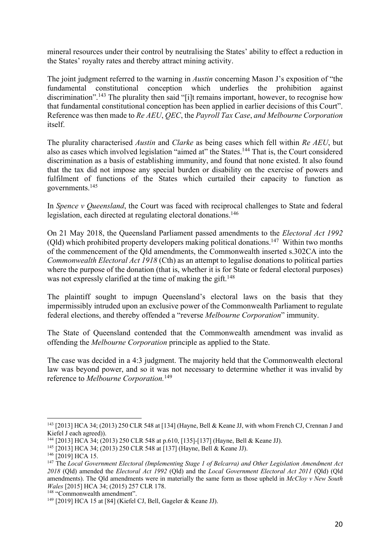mineral resources under their control by neutralising the States' ability to effect a reduction in the States' royalty rates and thereby attract mining activity.

The joint judgment referred to the warning in *Austin* concerning Mason J's exposition of "the fundamental constitutional conception which underlies the prohibition against discrimination".<sup>143</sup> The plurality then said "[i]t remains important, however, to recognise how that fundamental constitutional conception has been applied in earlier decisions of this Court". Reference was then made to *Re AEU*, *QEC*, the *Payroll Tax Case*, *and Melbourne Corporation*  itself.

The plurality characterised *Austin* and *Clarke* as being cases which fell within *Re AEU*, but also as cases which involved legislation "aimed at" the States.<sup>144</sup> That is, the Court considered discrimination as a basis of establishing immunity, and found that none existed. It also found that the tax did not impose any special burden or disability on the exercise of powers and fulfilment of functions of the States which curtailed their capacity to function as governments.145

In *Spence v Queensland*, the Court was faced with reciprocal challenges to State and federal legislation, each directed at regulating electoral donations.<sup>146</sup>

On 21 May 2018, the Queensland Parliament passed amendments to the *Electoral Act 1992* (Old) which prohibited property developers making political donations.<sup>147</sup> Within two months of the commencement of the Qld amendments, the Commonwealth inserted s.302CA into the *Commonwealth Electoral Act 1918* (Cth) as an attempt to legalise donations to political parties where the purpose of the donation (that is, whether it is for State or federal electoral purposes) was not expressly clarified at the time of making the gift.<sup>148</sup>

The plaintiff sought to impugn Queensland's electoral laws on the basis that they impermissibly intruded upon an exclusive power of the Commonwealth Parliament to regulate federal elections, and thereby offended a "reverse *Melbourne Corporation*" immunity.

The State of Queensland contended that the Commonwealth amendment was invalid as offending the *Melbourne Corporation* principle as applied to the State.

The case was decided in a 4:3 judgment. The majority held that the Commonwealth electoral law was beyond power, and so it was not necessary to determine whether it was invalid by reference to *Melbourne Corporation.*<sup>149</sup>

<sup>143</sup> [2013] HCA 34; (2013) 250 CLR 548 at [134] (Hayne, Bell & Keane JJ, with whom French CJ, Crennan J and Kiefel J each agreed)).

<sup>144</sup> [2013] HCA 34; (2013) 250 CLR 548 at p.610, [135]-[137] (Hayne, Bell & Keane JJ).

<sup>145</sup> [2013] HCA 34; (2013) 250 CLR 548 at [137] (Hayne, Bell & Keane JJ).

<sup>&</sup>lt;sup>146</sup> [2019] HCA 15.

<sup>147</sup> The *Local Government Electoral (Implementing Stage 1 of Belcarra) and Other Legislation Amendment Act 2018* (Qld) amended the *Electoral Act 1992* (Qld) and the *Local Government Electoral Act 2011* (Qld) (Qld amendments). The Qld amendments were in materially the same form as those upheld in *McCloy v New South Wales* [2015] HCA 34; (2015) 257 CLR 178.

<sup>148</sup> "Commonwealth amendment".

<sup>149</sup> [2019] HCA 15 at [84] (Kiefel CJ, Bell, Gageler & Keane JJ).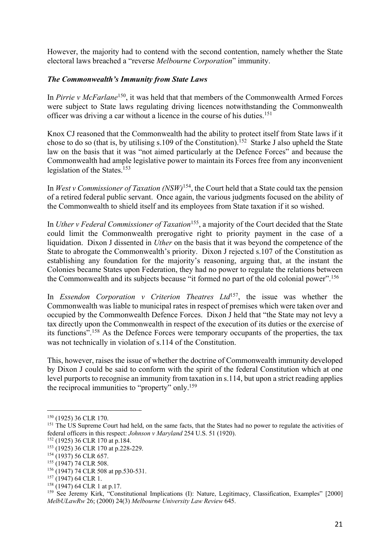However, the majority had to contend with the second contention, namely whether the State electoral laws breached a "reverse *Melbourne Corporation*" immunity.

## *The Commonwealth's Immunity from State Laws*

In *Pirrie v McFarlane*150, it was held that that members of the Commonwealth Armed Forces were subject to State laws regulating driving licences notwithstanding the Commonwealth officer was driving a car without a licence in the course of his duties. 151

Knox CJ reasoned that the Commonwealth had the ability to protect itself from State laws if it chose to do so (that is, by utilising s.109 of the Constitution). 152 Starke J also upheld the State law on the basis that it was "not aimed particularly at the Defence Forces" and because the Commonwealth had ample legislative power to maintain its Forces free from any inconvenient legislation of the States. 153

In *West v Commissioner of Taxation (NSW)*154, the Court held that a State could tax the pension of a retired federal public servant. Once again, the various judgments focused on the ability of the Commonwealth to shield itself and its employees from State taxation if it so wished.

In *Uther v Federal Commissioner of Taxation*155, a majority of the Court decided that the State could limit the Commonwealth prerogative right to priority payment in the case of a liquidation. Dixon J dissented in *Uther* on the basis that it was beyond the competence of the State to abrogate the Commonwealth's priority. Dixon J rejected s.107 of the Constitution as establishing any foundation for the majority's reasoning, arguing that, at the instant the Colonies became States upon Federation, they had no power to regulate the relations between the Commonwealth and its subjects because "it formed no part of the old colonial power".<sup>156</sup>

In *Essendon Corporation v Criterion Theatres Ltd*<sup>157</sup>, the issue was whether the Commonwealth was liable to municipal rates in respect of premises which were taken over and occupied by the Commonwealth Defence Forces. Dixon J held that "the State may not levy a tax directly upon the Commonwealth in respect of the execution of its duties or the exercise of its functions".158 As the Defence Forces were temporary occupants of the properties, the tax was not technically in violation of s.114 of the Constitution.

This, however, raises the issue of whether the doctrine of Commonwealth immunity developed by Dixon J could be said to conform with the spirit of the federal Constitution which at one level purports to recognise an immunity from taxation in s.114, but upon a strict reading applies the reciprocal immunities to "property" only.159

<sup>150</sup> (1925) 36 CLR 170.

<sup>&</sup>lt;sup>151</sup> The US Supreme Court had held, on the same facts, that the States had no power to regulate the activities of federal officers in this respect: *Johnson v Maryland* 254 U.S. 51 (1920).

<sup>152</sup> (1925) 36 CLR 170 at p.184.

<sup>153 (1925) 36</sup> CLR 170 at p.228-229.

<sup>154 (1937) 56</sup> CLR 657.

<sup>155 (1947) 74</sup> CLR 508.

<sup>&</sup>lt;sup>156</sup> (1947) 74 CLR 508 at pp.530-531.

<sup>157</sup> (1947) 64 CLR 1.

<sup>158</sup> (1947) 64 CLR 1 at p.17.

<sup>&</sup>lt;sup>159</sup> See Jeremy Kirk, "Constitutional Implications (I): Nature, Legitimacy, Classification, Examples" [2000] *MelbULawRw* 26; (2000) 24(3) *Melbourne University Law Review* 645.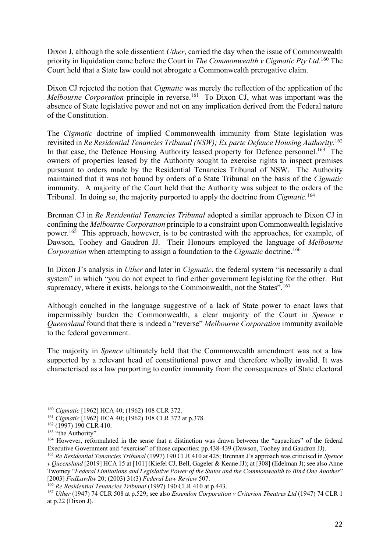Dixon J, although the sole dissentient *Uther*, carried the day when the issue of Commonwealth priority in liquidation came before the Court in *The Commonwealth v Cigmatic Pty Ltd*. <sup>160</sup> The Court held that a State law could not abrogate a Commonwealth prerogative claim.

Dixon CJ rejected the notion that *Cigmatic* was merely the reflection of the application of the *Melbourne Corporation* principle in reverse.<sup>161</sup> To Dixon CJ, what was important was the absence of State legislative power and not on any implication derived from the Federal nature of the Constitution.

The *Cigmatic* doctrine of implied Commonwealth immunity from State legislation was revisited in *Re Residential Tenancies Tribunal (NSW); Ex parte Defence Housing Authority*. 162 In that case, the Defence Housing Authority leased property for Defence personnel.<sup>163</sup> The owners of properties leased by the Authority sought to exercise rights to inspect premises pursuant to orders made by the Residential Tenancies Tribunal of NSW. The Authority maintained that it was not bound by orders of a State Tribunal on the basis of the *Cigmatic*  immunity. A majority of the Court held that the Authority was subject to the orders of the Tribunal. In doing so, the majority purported to apply the doctrine from *Cigmatic.* 164

Brennan CJ in *Re Residential Tenancies Tribunal* adopted a similar approach to Dixon CJ in confining the *Melbourne Corporation* principle to a constraint upon Commonwealth legislative power.<sup>165</sup> This approach, however, is to be contrasted with the approaches, for example, of Dawson, Toohey and Gaudron JJ. Their Honours employed the language of *Melbourne Corporation* when attempting to assign a foundation to the *Cigmatic* doctrine.166

In Dixon J's analysis in *Uther* and later in *Cigmatic*, the federal system "is necessarily a dual system" in which "you do not expect to find either government legislating for the other. But supremacy, where it exists, belongs to the Commonwealth, not the States".<sup>167</sup>

Although couched in the language suggestive of a lack of State power to enact laws that impermissibly burden the Commonwealth, a clear majority of the Court in *Spence v Queensland* found that there is indeed a "reverse" *Melbourne Corporation* immunity available to the federal government.

The majority in *Spence* ultimately held that the Commonwealth amendment was not a law supported by a relevant head of constitutional power and therefore wholly invalid. It was characterised as a law purporting to confer immunity from the consequences of State electoral

<sup>160</sup> *Cigmatic* [1962] HCA 40; (1962) 108 CLR 372.

<sup>161</sup> *Cigmatic* [1962] HCA 40; (1962) 108 CLR 372 at p.378.

<sup>162</sup> (1997) 190 CLR 410.

<sup>&</sup>lt;sup>163</sup> "the Authority".

<sup>164</sup> However, reformulated in the sense that a distinction was drawn between the "capacities" of the federal Executive Government and "exercise" of those capacities: pp.438-439 (Dawson, Toohey and Gaudron JJ).

<sup>165</sup> *Re Residential Tenancies Tribunal* (1997) 190 CLR 410 at 425; Brennan J's approach was criticised in *Spence v Queensland* [2019] HCA 15 at [101] (Kiefel CJ, Bell, Gageler & Keane JJ); at [308] (Edelman J); see also Anne Twomey "*Federal Limitations and Legislative Power of the States and the Commonwealth to Bind One Another*" [2003] *FedLawRw* 20; (2003) 31(3) *Federal Law Review* 507.

<sup>&</sup>lt;sup>166</sup> Re Residential Tenancies Tribunal (1997) 190 CLR 410 at p.443.

<sup>167</sup> *Uther* (1947) 74 CLR 508 at p.529; see also *Essendon Corporation v Criterion Theatres Ltd* (1947) 74 CLR 1 at p.22 (Dixon J).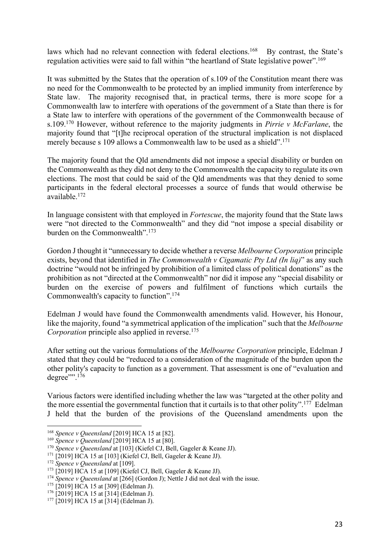laws which had no relevant connection with federal elections.<sup>168</sup> By contrast, the State's regulation activities were said to fall within "the heartland of State legislative power".<sup>169</sup>

It was submitted by the States that the operation of s.109 of the Constitution meant there was no need for the Commonwealth to be protected by an implied immunity from interference by State law. The majority recognised that, in practical terms, there is more scope for a Commonwealth law to interfere with operations of the government of a State than there is for a State law to interfere with operations of the government of the Commonwealth because of s.109.170 However, without reference to the majority judgments in *Pirrie v McFarlane*, the majority found that "[t]he reciprocal operation of the structural implication is not displaced merely because s 109 allows a Commonwealth law to be used as a shield".<sup>171</sup>

The majority found that the Qld amendments did not impose a special disability or burden on the Commonwealth as they did not deny to the Commonwealth the capacity to regulate its own elections. The most that could be said of the Qld amendments was that they denied to some participants in the federal electoral processes a source of funds that would otherwise be available.172

In language consistent with that employed in *Fortescue*, the majority found that the State laws were "not directed to the Commonwealth" and they did "not impose a special disability or burden on the Commonwealth".173

Gordon J thought it "unnecessary to decide whether a reverse *Melbourne Corporation* principle exists, beyond that identified in *The Commonwealth v Cigamatic Pty Ltd (In liq)*" as any such doctrine "would not be infringed by prohibition of a limited class of political donations" as the prohibition as not "directed at the Commonwealth" nor did it impose any "special disability or burden on the exercise of powers and fulfilment of functions which curtails the Commonwealth's capacity to function".174

Edelman J would have found the Commonwealth amendments valid. However, his Honour, like the majority, found "a symmetrical application of the implication" such that the *Melbourne Corporation* principle also applied in reverse.<sup>175</sup>

After setting out the various formulations of the *Melbourne Corporation* principle, Edelman J stated that they could be "reduced to a consideration of the magnitude of the burden upon the other polity's capacity to function as a government. That assessment is one of "evaluation and  $degree$ "".<sup>176</sup>

Various factors were identified including whether the law was "targeted at the other polity and the more essential the governmental function that it curtails is to that other polity".177 Edelman J held that the burden of the provisions of the Queensland amendments upon the

<sup>168</sup> *Spence v Queensland* [2019] HCA 15 at [82].

<sup>169</sup> *Spence v Queensland* [2019] HCA 15 at [80].

<sup>170</sup> *Spence v Queensland* at [103] (Kiefel CJ, Bell, Gageler & Keane JJ).

 $171$  [2019] HCA 15 at [103] (Kiefel CJ, Bell, Gageler & Keane JJ).

<sup>172</sup> *Spence v Queensland* at [109].

 $173$  [2019] HCA 15 at [109] (Kiefel CJ, Bell, Gageler & Keane JJ).

<sup>&</sup>lt;sup>174</sup> *Spence v Queensland* at [266] (Gordon J); Nettle J did not deal with the issue.

<sup>175</sup> [2019] HCA 15 at [309] (Edelman J).

<sup>176</sup> [2019] HCA 15 at [314] (Edelman J).

 $177$  [2019] HCA 15 at [314] (Edelman J).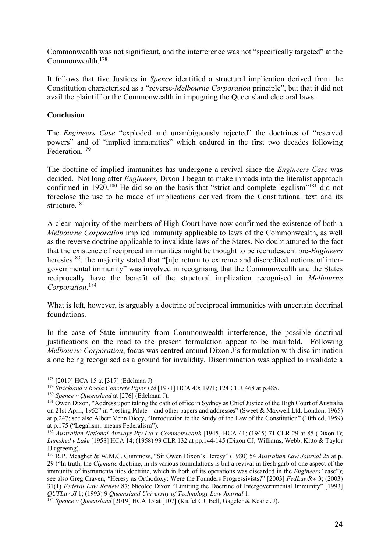Commonwealth was not significant, and the interference was not "specifically targeted" at the Commonwealth.178

It follows that five Justices in *Spence* identified a structural implication derived from the Constitution characterised as a "reverse-*Melbourne Corporation* principle", but that it did not avail the plaintiff or the Commonwealth in impugning the Queensland electoral laws.

## **Conclusion**

The *Engineers Case* "exploded and unambiguously rejected" the doctrines of "reserved powers" and of "implied immunities" which endured in the first two decades following Federation.179

The doctrine of implied immunities has undergone a revival since the *Engineers Case* was decided. Not long after *Engineers*, Dixon J began to make inroads into the literalist approach confirmed in 1920.<sup>180</sup> He did so on the basis that "strict and complete legalism"<sup>181</sup> did not foreclose the use to be made of implications derived from the Constitutional text and its structure. 182

A clear majority of the members of High Court have now confirmed the existence of both a *Melbourne Corporation* implied immunity applicable to laws of the Commonwealth, as well as the reverse doctrine applicable to invalidate laws of the States. No doubt attuned to the fact that the existence of reciprocal immunities might be thought to be recrudescent pre-*Engineers* heresies<sup>183</sup>, the majority stated that "[n]o return to extreme and discredited notions of intergovernmental immunity" was involved in recognising that the Commonwealth and the States reciprocally have the benefit of the structural implication recognised in *Melbourne Corporation*. 184

What is left, however, is arguably a doctrine of reciprocal immunities with uncertain doctrinal foundations.

In the case of State immunity from Commonwealth interference, the possible doctrinal justifications on the road to the present formulation appear to be manifold. Following *Melbourne Corporation*, focus was centred around Dixon J's formulation with discrimination alone being recognised as a ground for invalidity. Discrimination was applied to invalidate a

<sup>178</sup> [2019] HCA 15 at [317] (Edelman J).

<sup>179</sup> *Strickland v Rocla Concrete Pipes Ltd* [1971] HCA 40; 1971; 124 CLR 468 at p.485.

<sup>180</sup> *Spence v Queensland* at [276] (Edelman J).

<sup>&</sup>lt;sup>181</sup> Owen Dixon, "Address upon taking the oath of office in Sydney as Chief Justice of the High Court of Australia on 21st April, 1952" in "Jesting Pilate – and other papers and addresses" (Sweet & Maxwell Ltd, London, 1965) at p.247; see also Albert Venn Dicey, "Introduction to the Study of the Law of the Constitution" (10th ed, 1959) at p.175 ("Legalism.. means Federalism").

<sup>&</sup>lt;sup>182</sup> Australian National Airways Pty Ltd v Commonwealth [1945] HCA 41; (1945) 71 CLR 29 at 85 (Dixon J); *Lamshed v Lake* [1958] HCA 14; (1958) 99 CLR 132 at pp.144-145 (Dixon CJ; Williams, Webb, Kitto & Taylor JJ agreeing).

<sup>183</sup> R.P. Meagher & W.M.C. Gummow, "Sir Owen Dixon's Heresy" (1980) 54 *Australian Law Journal* 25 at p. 29 ("In truth, the *Cigmatic* doctrine, in its various formulations is but a revival in fresh garb of one aspect of the immunity of instrumentalities doctrine, which in both of its operations was discarded in the *Engineers'* case"); see also Greg Craven, "Heresy as Orthodoxy: Were the Founders Progressivists?" [2003] *FedLawRw* 3; (2003) 31(1) *Federal Law Review* 87; Nicolee Dixon "Limiting the Doctrine of Intergovernmental Immunity" [1993] *QUTLawJI* 1; (1993) 9 *Queensland University of Technology Law Journal* 1.

<sup>184</sup> *Spence v Queensland* [2019] HCA 15 at [107] (Kiefel CJ, Bell, Gageler & Keane JJ).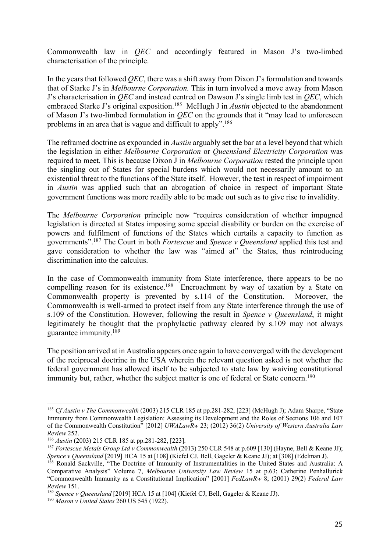Commonwealth law in *QEC* and accordingly featured in Mason J's two-limbed characterisation of the principle.

In the years that followed *QEC*, there was a shift away from Dixon J's formulation and towards that of Starke J's in *Melbourne Corporation.* This in turn involved a move away from Mason J's characterisation in *QEC* and instead centred on Dawson J's single limb test in *QEC*, which embraced Starke J's original exposition.<sup>185</sup> McHugh J in *Austin* objected to the abandonment of Mason J's two-limbed formulation in *QEC* on the grounds that it "may lead to unforeseen problems in an area that is vague and difficult to apply".<sup>186</sup>

The reframed doctrine as expounded in *Austin* arguably set the bar at a level beyond that which the legislation in either *Melbourne Corporation* or *Queensland Electricity Corporation* was required to meet. This is because Dixon J in *Melbourne Corporation* rested the principle upon the singling out of States for special burdens which would not necessarily amount to an existential threat to the functions of the State itself. However, the test in respect of impairment in *Austin* was applied such that an abrogation of choice in respect of important State government functions was more readily able to be made out such as to give rise to invalidity.

The *Melbourne Corporation* principle now "requires consideration of whether impugned legislation is directed at States imposing some special disability or burden on the exercise of powers and fulfilment of functions of the States which curtails a capacity to function as governments". <sup>187</sup> The Court in both *Fortescue* and *Spence v Queensland* applied this test and gave consideration to whether the law was "aimed at" the States, thus reintroducing discrimination into the calculus.

In the case of Commonwealth immunity from State interference, there appears to be no compelling reason for its existence.<sup>188</sup> Encroachment by way of taxation by a State on Commonwealth property is prevented by s.114 of the Constitution. Moreover, the Commonwealth is well-armed to protect itself from any State interference through the use of s.109 of the Constitution. However, following the result in *Spence v Queensland*, it might legitimately be thought that the prophylactic pathway cleared by s.109 may not always guarantee immunity.<sup>189</sup>

The position arrived at in Australia appears once again to have converged with the development of the reciprocal doctrine in the USA wherein the relevant question asked is not whether the federal government has allowed itself to be subjected to state law by waiving constitutional immunity but, rather, whether the subject matter is one of federal or State concern.<sup>190</sup>

<sup>185</sup> *Cf Austin v The Commonwealth* (2003) 215 CLR 185 at pp.281-282, [223] (McHugh J); Adam Sharpe, "State Immunity from Commonwealth Legislation: Assessing its Development and the Roles of Sections 106 and 107 of the Commonwealth Constitution" [2012] *UWALawRw* 23; (2012) 36(2) *University of Western Australia Law Review* 252.

<sup>186</sup> *Austin* (2003) 215 CLR 185 at pp.281-282, [223].

<sup>&</sup>lt;sup>187</sup> *Fortescue Metals Group Ltd v Commonwealth* (2013) 250 CLR 548 at p.609 [130] (Hayne, Bell & Keane JJ); *Spence v Queensland* [2019] HCA 15 at [108] (Kiefel CJ, Bell, Gageler & Keane JJ); at [308] (Edelman J).

<sup>&</sup>lt;sup>188</sup> Ronald Sackville, "The Doctrine of Immunity of Instrumentalities in the United States and Australia: A Comparative Analysis" Volume 7, *Melbourne University Law Review* 15 at p.63; Catherine Penhallurick "Commonwealth Immunity as a Constitutional Implication" [2001] *FedLawRw* 8; (2001) 29(2) *Federal Law Review* 151.

<sup>189</sup> *Spence v Queensland* [2019] HCA 15 at [104] (Kiefel CJ, Bell, Gageler & Keane JJ).

<sup>190</sup> *Mason v United States* 260 US 545 (1922).